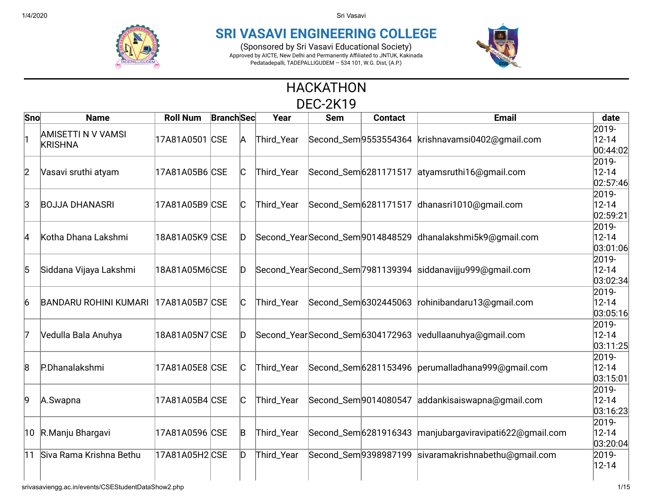

## **SRI VASAVI ENGINEERING COLLEGE**

(Sponsored by Sri Vasavi Educational Society) Approved by AICTE, New Delhi and Permanently Affiliated to JNTUK, Kakinada Pedatadepalli, TADEPALLIGUDEM – 534 101, W.G. Dist, (A.P.)



## HACKATHON DEC-2K19

| Sno | <b>Name</b>                                 | <b>Roll Num</b> | <b>Branch</b> Sec |     | Year       | <b>Sem</b> | <b>Contact</b>        | <b>Email</b>                                              | date                            |
|-----|---------------------------------------------|-----------------|-------------------|-----|------------|------------|-----------------------|-----------------------------------------------------------|---------------------------------|
|     | <b>AMISETTI N V VAMSI</b><br><b>KRISHNA</b> | 17A81A0501 CSE  |                   | A   | Third_Year |            |                       | Second_Sem 9553554364 krishnavamsi0402@gmail.com          | 2019-<br>$12 - 14$<br>00:44:02  |
| 2   | Vasavi sruthi atyam                         | 17A81A05B6 CSE  |                   | IC. | Third_Year |            |                       | Second_Sem 6281171517 atyamsruthi 16@gmail.com            | 2019-<br>$12 - 14$<br> 02:57:46 |
| lЗ  | <b>BOJJA DHANASRI</b>                       | 17A81A05B9 CSE  |                   | C.  | Third_Year |            |                       | Second_Sem 6281171517 dhanasri1010@gmail.com              | 2019-<br>$12 - 14$<br>02:59:21  |
| 14  | Kotha Dhana Lakshmi                         | 18A81A05K9 CSE  |                   | D.  |            |            |                       | Second_YearSecond_Sem9014848529 dhanalakshmi5k9@gmail.com | 2019-<br>$12 - 14$<br> 03:01:06 |
| 5   | Siddana Vijaya Lakshmi                      | 18A81A05M6CSE   |                   | D.  |            |            |                       | Second_YearSecond_Sem7981139394 siddanavijju999@gmail.com | 2019-<br>$12 - 14$<br>03:02:34  |
| 6   | <b>BANDARU ROHINI KUMARI</b>                | 17A81A05B7 CSE  |                   | IC. | Third_Year |            |                       | Second_Sem 6302445063 rohinibandaru13@gmail.com           | 2019-<br>$12 - 14$<br>03:05:16  |
| 17  | Vedulla Bala Anuhya                         | 18A81A05N7 CSE  |                   | D.  |            |            |                       | Second_YearSecond_Sem6304172963 vedullaanuhya@gmail.com   | 2019-<br>$12 - 14$<br>03:11:25  |
| 8   | P.Dhanalakshmi                              | 17A81A05E8 CSE  |                   | C.  | Third_Year |            |                       | Second_Sem6281153496 perumalladhana999@gmail.com          | 2019-<br>$12 - 14$<br>03:15:01  |
| 9   | A.Swapna                                    | 17A81A05B4 CSE  |                   | IC. | Third_Year |            | Second_Sem 9014080547 | addankisaiswapna@gmail.com                                | 2019-<br>$12 - 14$<br>03:16:23  |
|     | 10 R.Manju Bhargavi                         | 17A81A0596 CSE  |                   | B   | Third_Year |            |                       | Second_Sem 6281916343 manjubargaviravipati622@gmail.com   | 2019-<br>$12 - 14$<br> 03:20:04 |
|     | 11 Siva Rama Krishna Bethu                  | 17A81A05H2 CSE  |                   | D   | Third_Year |            |                       | Second_Sem9398987199 sivaramakrishnabethu@gmail.com       | 2019-<br>$12 - 14$              |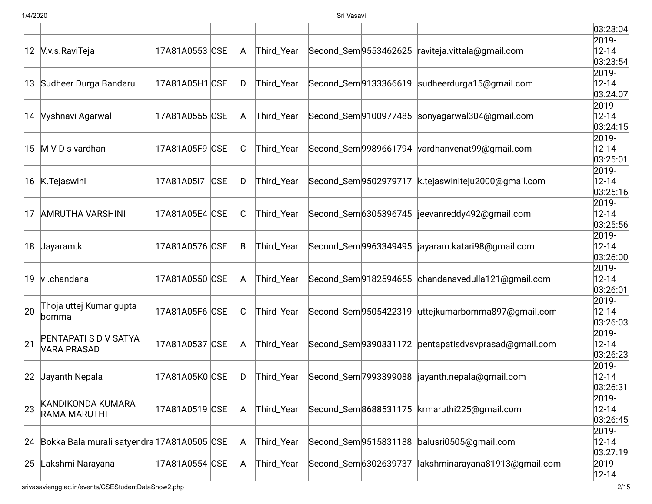|    |                                               |                 |            |     |            |                       |                       |                                                     | 03:23:04                        |
|----|-----------------------------------------------|-----------------|------------|-----|------------|-----------------------|-----------------------|-----------------------------------------------------|---------------------------------|
|    | 12 V.v.s.RaviTeja                             | 17A81A0553 CSE  |            | A   | Third_Year | Second_Sem 9553462625 |                       | raviteja.vittala@gmail.com                          | 2019-<br>$12 - 14$<br> 03:23:54 |
|    | 13 Sudheer Durga Bandaru                      | 17A81A05H1 CSE  |            | D   | Third_Year |                       | Second_Sem 9133366619 | sudheerdurga15@gmail.com                            | 2019-<br>$12 - 14$<br>03:24:07  |
|    | 14 Vyshnavi Agarwal                           | 17A81A0555  CSE |            | A   | Third_Year |                       |                       | Second_Sem9100977485 sonyagarwal304@gmail.com       | 2019-<br>$12 - 14$<br>03:24:15  |
|    | 15 M V D s vardhan                            | 17A81A05F9 CSE  |            | IС  | Third_Year |                       |                       | Second_Sem9989661794 vardhanvenat99@gmail.com       | 2019-<br>$12 - 14$<br>03:25:01  |
|    | 16 K.Tejaswini                                | 17A81A05I7      | <b>CSE</b> | ID  | Third_Year | Second_Sem 9502979717 |                       | k.tejaswiniteju2000@gmail.com                       | 2019-<br>$12 - 14$<br> 03:25:16 |
| 17 | <b>AMRUTHA VARSHINI</b>                       | 17A81A05E4 CSE  |            | IC. | Third_Year | Second_Sem 6305396745 |                       | jeevanreddy492@gmail.com                            | 2019-<br>$12 - 14$<br> 03:25:56 |
|    | 18 Jayaram.k                                  | 17A81A0576 CSE  |            | B   | Third_Year |                       | Second_Sem 9963349495 | jayaram.katari98@gmail.com                          | 2019-<br>$12 - 14$<br>03:26:00  |
|    | 19 $\vert v \rangle$ .chandana                | 17A81A0550 CSE  |            | A   | Third_Year |                       |                       | Second_Sem 9182594655 chandanavedulla 121@gmail.com | 2019-<br>$12 - 14$<br>03:26:01  |
| 20 | Thoja uttej Kumar gupta<br>bomma              | 17A81A05F6 CSE  |            | C   | Third_Year |                       | Second_Sem 9505422319 | uttejkumarbomma897@gmail.com                        | 2019-<br>$12 - 14$<br>03:26:03  |
| 21 | PENTAPATI S D V SATYA<br><b>VARA PRASAD</b>   | 17A81A0537 CSE  |            | A   | Third_Year |                       | Second_Sem9390331172  | pentapatisdvsvprasad@gmail.com                      | 2019-<br>$12 - 14$<br> 03:26:23 |
|    | 22 Jayanth Nepala                             | 17A81A05K0 CSE  |            | ID  | Third_Year |                       | Second_Sem 7993399088 | jayanth.nepala@gmail.com                            | 2019-<br>$12 - 14$<br> 03:26:31 |
| 23 | KANDIKONDA KUMARA<br>RAMA MARUTHI             | 17A81A0519 CSE  |            | A   | Third_Year | Second_Sem 8688531175 |                       | krmaruthi225@gmail.com                              | 2019-<br>$12 - 14$<br>03:26:45  |
|    | 24 Bokka Bala murali satyendra 17A81A0505 CSE |                 |            | A   | Third_Year | Second_Sem 9515831188 |                       | balusri0505@gmail.com                               | 2019-<br>$12 - 14$<br> 03:27:19 |
| 25 | Lakshmi Narayana                              | 17A81A0554 CSE  |            | A   | Third_Year | Second_Sem 6302639737 |                       | lakshminarayana81913@gmail.com                      | 2019-<br>$12 - 14$              |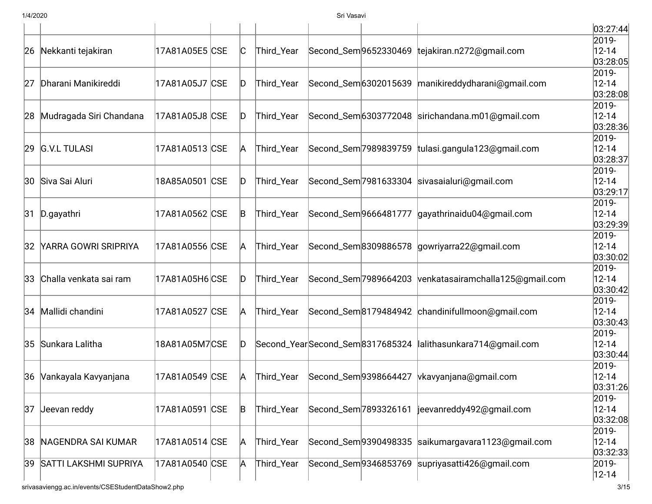|    |                              |                |     |            |                                 |                       |                                  | 03:27:44           |
|----|------------------------------|----------------|-----|------------|---------------------------------|-----------------------|----------------------------------|--------------------|
|    |                              |                |     |            |                                 |                       |                                  | 2019-              |
|    | 26 Nekkanti tejakiran        | 17A81A05E5 CSE | IC. | Third_Year | Second_Sem 9652330469           |                       | tejakiran.n272@gmail.com         | $12 - 14$          |
|    |                              |                |     |            |                                 |                       |                                  | 03:28:05           |
|    | Dharani Manikireddi          | 17A81A05J7 CSE | ID  | Third_Year | Second_Sem 6302015639           |                       |                                  | 2019-<br>$12 - 14$ |
| 27 |                              |                |     |            |                                 |                       | manikireddydharani@gmail.com     | 03:28:08           |
|    |                              |                |     |            |                                 |                       |                                  | 2019-              |
| 28 | Mudragada Siri Chandana      | 17A81A05J8 CSE | D   | Third_Year |                                 | Second_Sem 6303772048 | sirichandana.m01@gmail.com       | $12 - 14$          |
|    |                              |                |     |            |                                 |                       |                                  | 03:28:36           |
|    |                              |                |     |            |                                 |                       |                                  | 2019-              |
|    | 29 G.V.L TULASI              | 17A81A0513 CSE | A   | Third_Year |                                 | Second_Sem 7989839759 | tulasi.gangula123@gmail.com      | $12 - 14$          |
|    |                              |                |     |            |                                 |                       |                                  | 03:28:37           |
|    |                              |                |     |            |                                 |                       |                                  | 2019-              |
|    | 30 Siva Sai Aluri            | 18A85A0501 CSE | ID  | Third_Year |                                 | Second_Sem 7981633304 | sivasaialuri@gmail.com           | $12 - 14$          |
|    |                              |                |     |            |                                 |                       |                                  | 03:29:17           |
|    |                              |                |     |            |                                 |                       |                                  | 2019-              |
|    | 31 D.gayathri                | 17A81A0562 CSE | B   | Third_Year | Second_Sem 9666481777           |                       | gayathrinaidu04@gmail.com        | $12 - 14$          |
|    |                              |                |     |            |                                 |                       |                                  | 03:29:39           |
|    |                              |                |     |            |                                 |                       |                                  | 2019-              |
| 32 | YARRA GOWRI SRIPRIYA         | 17A81A0556 CSE | A   | Third_Year |                                 | Second_Sem8309886578  | gowriyarra22@gmail.com           | $12 - 14$          |
|    |                              |                |     |            |                                 |                       |                                  | 03:30:02<br>2019-  |
| 33 | Challa venkata sai ram       | 17A81A05H6 CSE | ID  | Third_Year | Second_Sem 7989664203           |                       | venkatasairamchalla125@gmail.com | $12 - 14$          |
|    |                              |                |     |            |                                 |                       |                                  | 03:30:42           |
|    |                              |                |     |            |                                 |                       |                                  | 2019-              |
|    | 34 Mallidi chandini          | 17A81A0527 CSE | A   | Third_Year |                                 | Second_Sem8179484942  | chandinifullmoon@gmail.com       | $12 - 14$          |
|    |                              |                |     |            |                                 |                       |                                  | 03:30:43           |
|    |                              |                |     |            |                                 |                       |                                  | 2019-              |
|    | 35 Sunkara Lalitha           | 18A81A05M7CSE  | D   |            | Second_YearSecond_Sem8317685324 |                       | lalithasunkara714@gmail.com      | $12 - 14$          |
|    |                              |                |     |            |                                 |                       |                                  | 03:30:44           |
|    |                              |                |     |            |                                 |                       |                                  | 2019-              |
|    | 36 Vankayala Kavyanjana      | 17A81A0549 CSE | A   | Third_Year | Second_Sem 9398664427           |                       | vkavyanjana@gmail.com            | $12 - 14$          |
|    |                              |                |     |            |                                 |                       |                                  | 03:31:26           |
|    |                              |                |     |            |                                 |                       |                                  | 2019-              |
| 37 | Jeevan reddy                 | 17A81A0591 CSE | B   | Third_Year | Second_Sem 7893326161           |                       | jeevanreddy492@gmail.com         | $12 - 14$          |
|    |                              |                |     |            |                                 |                       |                                  | 03:32:08           |
|    |                              |                |     |            |                                 |                       |                                  | 2019-              |
| 38 | NAGENDRA SAI KUMAR           | 17A81A0514 CSE | A   | Third_Year |                                 | Second_Sem 9390498335 | saikumargavara1123@gmail.com     | 12-14              |
|    |                              |                |     |            |                                 |                       |                                  | 03:32:33           |
| 39 | <b>SATTI LAKSHMI SUPRIYA</b> | 17A81A0540 CSE | A   | Third_Year | Second_Sem 9346853769           |                       | supriyasatti426@gmail.com        | 2019-              |
|    |                              |                |     |            |                                 |                       |                                  | $12 - 14$          |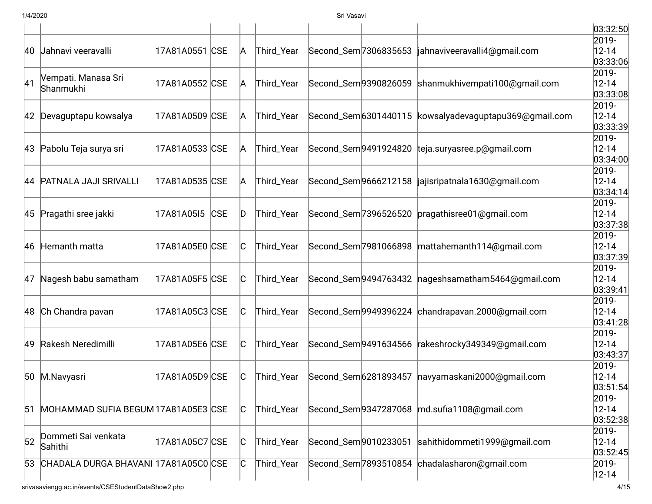|    |                                                    |                |     |     |            |                       |                                                        | 03:32:50              |
|----|----------------------------------------------------|----------------|-----|-----|------------|-----------------------|--------------------------------------------------------|-----------------------|
|    |                                                    |                |     |     |            |                       |                                                        | 2019-                 |
|    | 40 Jahnavi veeravalli                              | 17A81A0551 CSE |     | A   | Third_Year |                       | Second_Sem 7306835653  jahnaviveeravalli4@qmail.com    | $12 - 14$<br>03:33:06 |
|    | Vempati. Manasa Sri                                |                |     |     |            |                       |                                                        | 2019-                 |
| 41 | Shanmukhi                                          | 17A81A0552 CSE |     | A   | Third_Year | Second_Sem 9390826059 | shanmukhivempati100@qmail.com                          | $12 - 14$             |
|    |                                                    |                |     |     |            |                       |                                                        | 03:33:08<br>2019-     |
|    | 42 Devaguptapu kowsalya                            | 17A81A0509 CSE |     | A   | Third_Year |                       | Second_Sem 6301440115 kowsalyadevaguptapu369@gmail.com | $12 - 14$             |
|    |                                                    |                |     |     |            |                       |                                                        | 03:33:39              |
|    |                                                    |                |     |     |            |                       |                                                        | 2019-                 |
|    | 43 Pabolu Teja surya sri                           | 17A81A0533 CSE |     | A   | Third_Year |                       | Second_Sem 9491924820 teja.suryasree.p@gmail.com       | $12 - 14$             |
|    |                                                    |                |     |     |            |                       |                                                        | 03:34:00              |
|    | 44 PATNALA JAJI SRIVALLI                           | 17A81A0535 CSE |     | A   | Third_Year |                       | Second_Sem9666212158  jajisripatnala1630@gmail.com     | 2019-<br>$12 - 14$    |
|    |                                                    |                |     |     |            |                       |                                                        | 03:34:14              |
|    |                                                    |                |     |     |            |                       |                                                        | 2019-                 |
|    | 45 Pragathi sree jakki                             | 17A81A05I5     | CSE | ID  | Third_Year |                       | Second_Sem 7396526520 pragathisree01@gmail.com         | $12 - 14$             |
|    |                                                    |                |     |     |            |                       |                                                        | 03:37:38              |
|    |                                                    |                |     |     |            |                       |                                                        | 2019-                 |
|    | 46 Hemanth matta                                   | 17A81A05E0 CSE |     | IС  | Third_Year | Second_Sem 7981066898 | mattahemanth114@qmail.com                              | $12 - 14$             |
|    |                                                    |                |     |     |            |                       |                                                        | 03:37:39<br>2019-     |
| 47 | Nagesh babu samatham                               | 17A81A05F5 CSE |     | C   | Third_Year |                       | Second_Sem 9494763432   nageshsamatham 5464@gmail.com  | $12 - 14$             |
|    |                                                    |                |     |     |            |                       |                                                        | 03:39:41              |
|    |                                                    |                |     |     |            |                       |                                                        | 2019-                 |
|    | 48 Ch Chandra pavan                                | 17A81A05C3 CSE |     | C   | Third_Year |                       | Second_Sem9949396224 chandrapavan.2000@gmail.com       | $12 - 14$             |
|    |                                                    |                |     |     |            |                       |                                                        | 03:41:28              |
|    |                                                    |                |     |     |            |                       |                                                        | 2019-                 |
| 49 | Rakesh Neredimilli                                 | 17A81A05E6 CSE |     | C   | Third_Year | Second_Sem 9491634566 | rakeshrocky349349@gmail.com                            | $12 - 14$<br>03:43:37 |
|    |                                                    |                |     |     |            |                       |                                                        | 2019-                 |
|    | 50 M.Navyasri                                      | 17A81A05D9 CSE |     | IС  | Third_Year |                       | Second_Sem 6281893457   navyamaskani 2000@gmail.com    | $12 - 14$             |
|    |                                                    |                |     |     |            |                       |                                                        | 03:51:54              |
|    |                                                    |                |     |     |            |                       |                                                        | 2019-                 |
| 51 | MOHAMMAD SUFIA BEGUM 17A81A05E3 CSE                |                |     | C   | Third_Year |                       | Second_Sem9347287068  md.sufia1108@gmail.com           | $12 - 14$             |
|    |                                                    |                |     |     |            |                       |                                                        | 03:52:38              |
| 52 | Dommeti Sai venkata                                | 17A81A05C7 CSE |     | C   | Third_Year |                       | Second_Sem 9010233051 sahithidommeti1999@gmail.com     | 2019-<br>$12 - 14$    |
|    | Sahithi                                            |                |     |     |            |                       |                                                        | 03:52:45              |
| 53 | CHADALA DURGA BHAVANI 17A81A05C0 CSE               |                |     | IC. | Third_Year |                       | Second_Sem 7893510854 chadalasharon@gmail.com          | 2019-                 |
|    |                                                    |                |     |     |            |                       |                                                        | $12 - 14$             |
|    | srivasaviengg.ac.in/events/CSEStudentDataShow2.php |                |     |     |            |                       |                                                        | 4/15                  |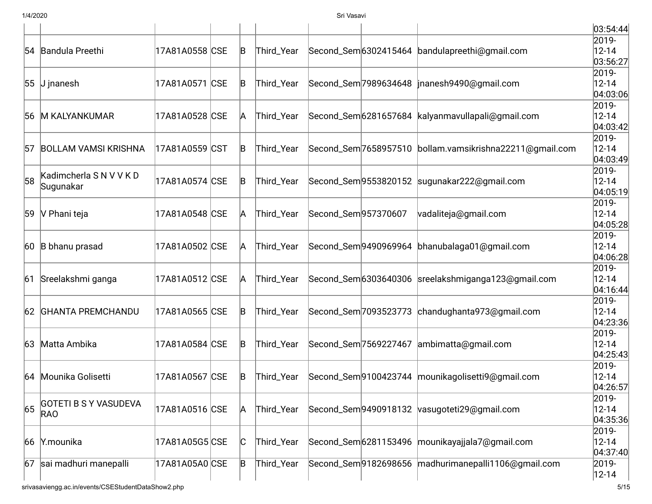|    |                              |                |             |            |                      |                                                             | 03:54:44              |
|----|------------------------------|----------------|-------------|------------|----------------------|-------------------------------------------------------------|-----------------------|
|    |                              |                |             |            |                      |                                                             | 2019-                 |
|    | 54 Bandula Preethi           | 17A81A0558 CSE | $\mathsf B$ | Third_Year |                      | Second_Sem 6302415464 bandulapreethi@gmail.com              | $12 - 14$             |
|    |                              |                |             |            |                      |                                                             | 03:56:27              |
|    | 55 J jnanesh                 | 17A81A0571 CSE | B           | Third_Year |                      | Second_Sem 7989634648   jnanesh 9490@gmail.com              | 2019-<br>$12 - 14$    |
|    |                              |                |             |            |                      |                                                             | 04:03:06              |
|    |                              |                |             |            |                      |                                                             | 2019-                 |
|    | 56 M KALYANKUMAR             | 17A81A0528 CSE | A           | Third_Year |                      | Second_Sem 6281657684   kalyanmavullapali@gmail.com         | $12 - 14$             |
|    |                              |                |             |            |                      |                                                             | 04:03:42              |
|    |                              |                |             |            |                      |                                                             | 2019-                 |
|    | 57 BOLLAM VAMSI KRISHNA      | 17A81A0559 CST | $\mathsf B$ | Third_Year |                      | Second_Sem 7658957510   bollam.vamsikrishna 22211@gmail.com | $12 - 14$             |
|    |                              |                |             |            |                      |                                                             | 04:03:49              |
|    | Kadimcherla SNVVKD           |                |             |            |                      |                                                             | 2019-                 |
| 58 | Sugunakar                    | 17A81A0574 CSE | B           | Third_Year |                      | Second_Sem9553820152 sugunakar222@gmail.com                 | $12 - 14$             |
|    |                              |                |             |            |                      |                                                             | 04:05:19              |
| 59 | V Phani teja                 | 17A81A0548 CSE | A           | Third_Year | Second_Sem 957370607 | vadaliteja@gmail.com                                        | 2019-<br>$12 - 14$    |
|    |                              |                |             |            |                      |                                                             | 04:05:28              |
|    |                              |                |             |            |                      |                                                             | 2019-                 |
|    | 60 B bhanu prasad            | 17A81A0502 CSE | A           | Third_Year |                      | Second_Sem 9490969964 bhanubalaga01@gmail.com               | $12 - 14$             |
|    |                              |                |             |            |                      |                                                             | 04:06:28              |
|    |                              |                |             |            |                      |                                                             | 2019-                 |
| 61 | Sreelakshmi ganga            | 17A81A0512 CSE | A           | Third_Year |                      | Second_Sem6303640306 sreelakshmiganga123@gmail.com          | $12 - 14$             |
|    |                              |                |             |            |                      |                                                             | 04:16:44              |
|    |                              |                |             |            |                      |                                                             | 2019-                 |
|    | 62 GHANTA PREMCHANDU         | 17A81A0565 CSE | B           | Third_Year |                      | Second_Sem 7093523773 chandughanta 973@gmail.com            | $12 - 14$             |
|    |                              |                |             |            |                      |                                                             | 04:23:36              |
|    | Matta Ambika                 | 17A81A0584 CSE |             |            |                      |                                                             | 2019-                 |
| 63 |                              |                | B           | Third_Year |                      | Second_Sem 7569227467 ambimatta@gmail.com                   | $12 - 14$<br>04:25:43 |
|    |                              |                |             |            |                      |                                                             | 2019-                 |
|    | 64 Mounika Golisetti         | 17A81A0567 CSE | B           | Third_Year |                      | Second_Sem 9100423744   mounikagolisetti 9@gmail.com        | $12 - 14$             |
|    |                              |                |             |            |                      |                                                             | 04:26:57              |
|    |                              |                |             |            |                      |                                                             | 2019-                 |
| 65 | <b>GOTETI B S Y VASUDEVA</b> | 17A81A0516 CSE | A           | Third_Year |                      | Second_Sem9490918132 vasugoteti29@gmail.com                 | $12 - 14$             |
|    | <b>RAO</b>                   |                |             |            |                      |                                                             | 04:35:36              |
|    |                              |                |             |            |                      |                                                             | 2019-                 |
| 66 | Y.mounika                    | 17A81A05G5 CSE | C           | Third_Year |                      | Second_Sem 6281153496   mounikayajjala7@gmail.com           | $12 - 14$             |
|    |                              |                |             |            |                      |                                                             | 04:37:40              |
| 67 | sai madhuri manepalli        | 17A81A05A0 CSE | B           | Third_Year |                      | Second_Sem9182698656 madhurimanepalli1106@gmail.com         | 2019-                 |
|    |                              |                |             |            |                      |                                                             | $12 - 14$             |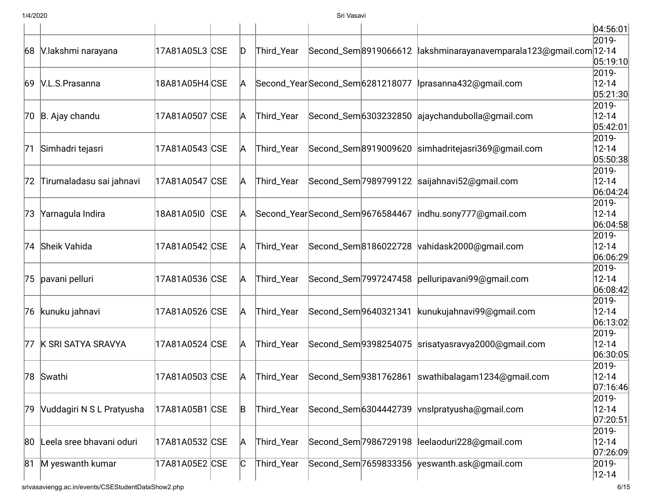|    |                           |                |            |   |                                 |                                 |                       |                                                | 04:56:01               |
|----|---------------------------|----------------|------------|---|---------------------------------|---------------------------------|-----------------------|------------------------------------------------|------------------------|
| 68 | V.lakshmi narayana        | 17A81A05L3 CSE |            | D | Third_Year                      | Second_Sem 8919066612           |                       | lakshminarayanavemparala123@gmail.com 12-14    | 2019-                  |
|    |                           |                |            |   |                                 |                                 |                       |                                                | 05:19:10               |
|    |                           |                |            |   |                                 |                                 |                       |                                                | 2019-                  |
| 69 | V.L.S.Prasanna            | 18A81A05H4 CSE |            | A |                                 | Second_YearSecond_Sem6281218077 |                       | Iprasanna432@gmail.com                         | $12 - 14$              |
|    |                           |                |            |   |                                 |                                 |                       |                                                | 05:21:30 <br>2019-     |
|    | 70 B. Ajay chandu         | 17A81A0507 CSE |            | A | Third_Year                      |                                 |                       | Second_Sem6303232850 ajaychandubolla@gmail.com | $12 - 14$              |
|    |                           |                |            |   |                                 |                                 |                       |                                                | 05:42:01               |
|    |                           |                |            |   |                                 |                                 |                       |                                                | 2019-                  |
| 71 | Simhadri tejasri          | 17A81A0543 CSE |            | A | Third_Year                      | Second_Sem 8919009620           |                       | simhadritejasri369@gmail.com                   | $12 - 14$              |
|    |                           |                |            |   |                                 |                                 |                       |                                                | 05:50:38               |
|    |                           |                |            |   |                                 |                                 |                       |                                                | 2019-                  |
| 72 | Tirumaladasu sai jahnavi  | 17A81A0547 CSE |            | A | Third_Year                      |                                 | Second_Sem 7989799122 | saijahnavi52@gmail.com                         | $12 - 14$<br> 06:04:24 |
|    |                           |                |            |   |                                 |                                 |                       |                                                | 2019-                  |
| 73 | Yarnagula Indira          | 18A81A05I0     | <b>CSE</b> | A | Second_YearSecond_Sem9676584467 |                                 |                       | indhu.sony777@gmail.com                        | $12 - 14$              |
|    |                           |                |            |   |                                 |                                 |                       |                                                | 06:04:58               |
|    |                           |                |            |   |                                 |                                 |                       |                                                | 2019-                  |
|    | 74 Sheik Vahida           | 17A81A0542 CSE |            | A | Third_Year                      | Second_Sem 8186022728           |                       | vahidask2000@gmail.com                         | $12 - 14$              |
|    |                           |                |            |   |                                 |                                 |                       |                                                | 06:06:29               |
|    | 75 pavani pelluri         | 17A81A0536 CSE |            | A | Third_Year                      | Second_Sem 7997247458           |                       | pelluripavani99@gmail.com                      | 2019-<br>$12 - 14$     |
|    |                           |                |            |   |                                 |                                 |                       |                                                | 06:08:42               |
|    |                           |                |            |   |                                 |                                 |                       |                                                | 2019-                  |
|    | 76 kunuku jahnavi         | 17A81A0526 CSE |            | A | Third_Year                      | Second_Sem 9640321341           |                       | kunukujahnavi99@gmail.com                      | $12 - 14$              |
|    |                           |                |            |   |                                 |                                 |                       |                                                | 06:13:02               |
|    |                           |                |            |   |                                 |                                 |                       |                                                | 2019-                  |
|    | 77 K SRI SATYA SRAVYA     | 17A81A0524 CSE |            | A | Third_Year                      | Second_Sem 9398254075           |                       | srisatyasravya2000@gmail.com                   | $12 - 14$              |
|    |                           |                |            |   |                                 |                                 |                       |                                                | 06:30:05               |
|    | 78 Swathi                 | 17A81A0503 CSE |            | A | Third_Year                      | Second_Sem 9381762861           |                       | swathibalagam1234@gmail.com                    | 2019-<br>$12 - 14$     |
|    |                           |                |            |   |                                 |                                 |                       |                                                | 07:16:46               |
|    |                           |                |            |   |                                 |                                 |                       |                                                | 2019-                  |
| 79 | Vuddagiri N S L Pratyusha | 17A81A05B1 CSE |            | B | Third_Year                      | Second_Sem 6304442739           |                       | vnslpratyusha@gmail.com                        | $12 - 14$              |
|    |                           |                |            |   |                                 |                                 |                       |                                                | 07:20:51               |
|    |                           |                |            |   |                                 |                                 |                       |                                                | 2019-                  |
| 80 | Leela sree bhavani oduri  | 17A81A0532 CSE |            | A | Third_Year                      | Second_Sem 7986729198           |                       | leelaoduri228@gmail.com                        | $12 - 14$              |
|    |                           |                |            |   |                                 |                                 |                       |                                                | 07:26:09               |
| 81 | M yeswanth kumar          | 17A81A05E2 CSE |            | C | Third_Year                      | Second_Sem 7659833356           |                       | yeswanth.ask@gmail.com                         | 2019-                  |
|    |                           |                |            |   |                                 |                                 |                       |                                                | $12 - 14$              |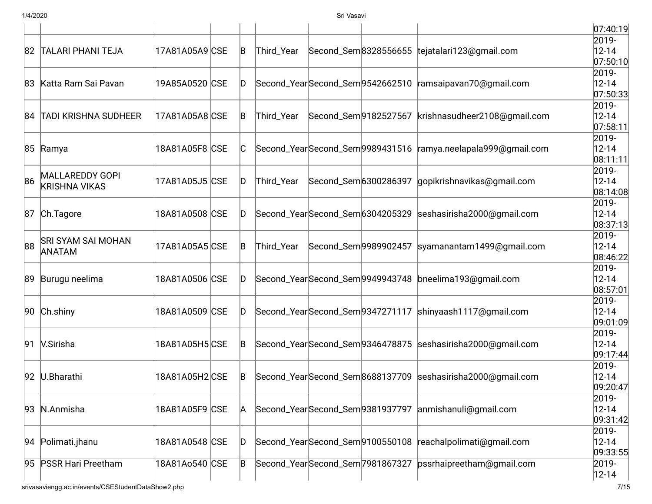|    |                           |                |    |                                  |                                 |                                                            | 07:40:19               |
|----|---------------------------|----------------|----|----------------------------------|---------------------------------|------------------------------------------------------------|------------------------|
|    |                           |                |    |                                  |                                 |                                                            | 2019-                  |
|    | 82 TALARI PHANI TEJA      | 17A81A05A9 CSE | B  | Third_Year                       |                                 | Second_Sem8328556655 tejatalari123@gmail.com               | $12 - 14$<br> 07:50:10 |
|    |                           |                |    |                                  |                                 |                                                            | 2019-                  |
|    | 83 Katta Ram Sai Pavan    | 19A85A0520 CSE | D  |                                  | Second_YearSecond_Sem9542662510 | ramsaipavan70@gmail.com                                    | $12 - 14$              |
|    |                           |                |    |                                  |                                 |                                                            | 07:50:33               |
|    |                           |                |    |                                  |                                 |                                                            | 2019-                  |
|    | 84 TADI KRISHNA SUDHEER   | 17A81A05A8 CSE | B  | Third_Year                       | Second_Sem 9182527567           | krishnasudheer2108@gmail.com                               | $12 - 14$              |
|    |                           |                |    |                                  |                                 |                                                            | 07:58:11<br>2019-      |
|    | 85 Ramya                  | 18A81A05F8 CSE | IС | Second_YearSecond_Sem9989431516  |                                 | ramya.neelapala999@gmail.com                               | $12 - 14$              |
|    |                           |                |    |                                  |                                 |                                                            | 08:11:11               |
|    |                           |                |    |                                  |                                 |                                                            | 2019-                  |
| 86 | MALLAREDDY GOPI           | 17A81A05J5 CSE | D  | Third_Year                       | Second_Sem 6300286397           | gopikrishnavikas@gmail.com                                 | $12 - 14$              |
|    | <b>KRISHNA VIKAS</b>      |                |    |                                  |                                 |                                                            | 08:14:08               |
|    |                           |                |    |                                  |                                 |                                                            | 2019-                  |
|    | 87 Ch. Tagore             | 18A81A0508 CSE | D  |                                  | Second_YearSecond_Sem6304205329 | seshasirisha2000@qmail.com                                 | $12 - 14$              |
|    |                           |                |    |                                  |                                 |                                                            | 08:37:13               |
|    | <b>SRI SYAM SAI MOHAN</b> |                |    |                                  |                                 |                                                            | 2019-                  |
| 88 | <b>ANATAM</b>             | 17A81A05A5 CSE | B  | Third_Year                       | Second_Sem 9989902457           | syamanantam1499@gmail.com                                  | $12 - 14$              |
|    |                           |                |    |                                  |                                 |                                                            | 08:46:22               |
|    | 89 Burugu neelima         | 18A81A0506 CSE | D  |                                  | Second_YearSecond_Sem9949943748 | bneelima193@gmail.com                                      | 2019-<br>$12 - 14$     |
|    |                           |                |    |                                  |                                 |                                                            | 08:57:01               |
|    |                           |                |    |                                  |                                 |                                                            | 2019-                  |
|    | 90 Ch.shiny               | 18A81A0509 CSE | D  |                                  | Second_YearSecond_Sem9347271117 | shinyaash1117@gmail.com                                    | $12 - 14$              |
|    |                           |                |    |                                  |                                 |                                                            | 09:01:09               |
|    |                           |                |    |                                  |                                 |                                                            | 2019-                  |
| 91 | V.Sirisha                 | 18A81A05H5 CSE | B  |                                  | Second_YearSecond_Sem9346478875 | seshasirisha2000@gmail.com                                 | $12 - 14$              |
|    |                           |                |    |                                  |                                 |                                                            | 09:17:44               |
|    |                           |                |    |                                  |                                 |                                                            | 2019-                  |
|    | 92 U.Bharathi             | 18A81A05H2 CSE | B  |                                  |                                 | Second_YearSecond_Sem8688137709 seshasirisha2000@gmail.com | $12 - 14$              |
|    |                           |                |    |                                  |                                 |                                                            | 09:20:47               |
|    |                           | 18A81A05F9 CSE |    |                                  |                                 |                                                            | 2019-                  |
|    |                           |                | A  | Second_YearSecond_Sem9381937797  |                                 | anmishanuli@gmail.com                                      | $12 - 14$              |
|    | 93 N.Anmisha              |                |    |                                  |                                 |                                                            |                        |
|    |                           |                |    |                                  |                                 |                                                            | 09:31:42               |
|    |                           |                |    |                                  |                                 |                                                            | 2019-                  |
| 94 | Polimati.jhanu            | 18A81A0548 CSE | D  |                                  | Second_YearSecond_Sem9100550108 | reachalpolimati@gmail.com                                  | $12 - 14$              |
| 95 | <b>PSSR Hari Preetham</b> | 18A81Ao540 CSE | B  | Second_YearSecond_Sem 7981867327 |                                 | pssrhaipreetham@gmail.com                                  | 09:33:55<br>2019-      |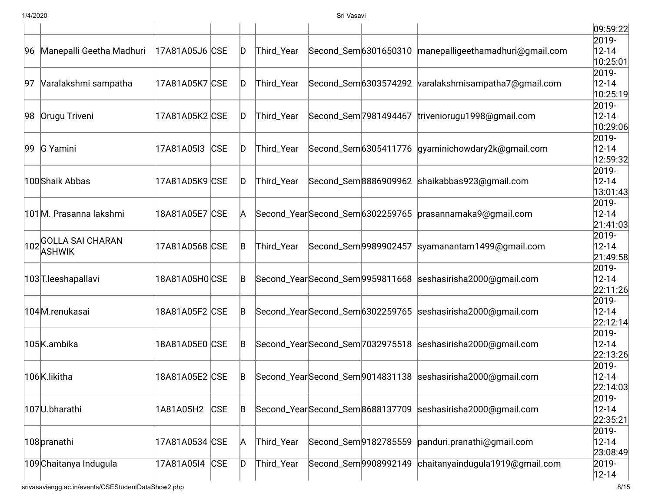|    |                             |                |            |     |                                 |                                  |                                 |                                                            | 09:59:22              |
|----|-----------------------------|----------------|------------|-----|---------------------------------|----------------------------------|---------------------------------|------------------------------------------------------------|-----------------------|
|    |                             |                |            |     |                                 |                                  |                                 |                                                            | 2019-                 |
|    | 96 Manepalli Geetha Madhuri | 17A81A05J6 CSE |            | D   | Third_Year                      |                                  | Second_Sem 6301650310           | manepalligeethamadhuri@gmail.com                           | $12 - 14$<br>10:25:01 |
|    |                             |                |            |     |                                 |                                  |                                 |                                                            | 2019-                 |
| 97 | Varalakshmi sampatha        | 17A81A05K7 CSE |            | D   | Third_Year                      |                                  | Second_Sem 6303574292           | varalakshmisampatha7@gmail.com                             | $12 - 14$             |
|    |                             |                |            |     |                                 |                                  |                                 |                                                            | 10:25:19              |
|    |                             |                |            |     |                                 |                                  |                                 |                                                            | 2019-                 |
| 98 | Orugu Triveni               | 17A81A05K2 CSE |            | D   | Third_Year                      |                                  | Second_Sem 7981494467           | triveniorugu1998@gmail.com                                 | $12 - 14$<br>10:29:06 |
|    |                             |                |            |     |                                 |                                  |                                 |                                                            | 2019-                 |
|    | 99 G Yamini                 | 17A81A05I3     | <b>CSE</b> | ID. | Third_Year                      |                                  |                                 | Second_Sem 6305411776 gyaminichowdary2k@gmail.com          | $12 - 14$             |
|    |                             |                |            |     |                                 |                                  |                                 |                                                            | 12:59:32              |
|    |                             |                |            |     |                                 |                                  |                                 |                                                            | 2019-                 |
|    | 100Shaik Abbas              | 17A81A05K9 CSE |            | D   | Third_Year                      |                                  | Second_Sem8886909962            | shaikabbas923@gmail.com                                    | $12 - 14$             |
|    |                             |                |            |     |                                 |                                  |                                 |                                                            | 13:01:43              |
|    |                             |                |            |     |                                 |                                  |                                 |                                                            | 2019-                 |
|    | 101M. Prasanna lakshmi      | 18A81A05E7 CSE |            | A   |                                 | Second_YearSecond_Sem6302259765  |                                 | prasannamaka9@gmail.com                                    | $12 - 14$             |
|    |                             |                |            |     |                                 |                                  |                                 |                                                            | 21:41:03              |
|    | 102 GOLLA SAI CHARAN        |                |            |     |                                 |                                  |                                 |                                                            | 2019-                 |
|    | <b>ASHWIK</b>               | 17A81A0568 CSE |            | B   | Third_Year                      |                                  | Second_Sem 9989902457           | syamanantam1499@gmail.com                                  | $12 - 14$<br>21:49:58 |
|    |                             |                |            |     |                                 |                                  |                                 |                                                            | 2019-                 |
|    | 103 T.leeshapallavi         | 18A81A05H0 CSE |            | B   |                                 |                                  |                                 | Second_YearSecond_Sem9959811668 seshasirisha2000@gmail.com | $12 - 14$             |
|    |                             |                |            |     |                                 |                                  |                                 |                                                            | 22:11:26              |
|    |                             |                |            |     |                                 |                                  |                                 |                                                            | 2019-                 |
|    | 104M.renukasai              | 18A81A05F2 CSE |            | B   |                                 |                                  | Second_YearSecond_Sem6302259765 | seshasirisha2000@gmail.com                                 | $12 - 14$             |
|    |                             |                |            |     |                                 |                                  |                                 |                                                            | 22:12:14              |
|    |                             |                |            |     |                                 |                                  |                                 |                                                            | 2019-                 |
|    | 105K.ambika                 | 18A81A05E0 CSE |            | B   |                                 | Second_YearSecond_Sem 7032975518 |                                 | seshasirisha2000@gmail.com                                 | $12 - 14$             |
|    |                             |                |            |     |                                 |                                  |                                 |                                                            | 22:13:26              |
|    |                             |                |            |     |                                 |                                  |                                 |                                                            | 2019-                 |
|    | 106K.likitha                | 18A81A05E2 CSE |            | B   |                                 |                                  |                                 | Second_YearSecond_Sem9014831138 seshasirisha2000@gmail.com | $12 - 14$             |
|    |                             |                |            |     |                                 |                                  |                                 |                                                            | 22:14:03              |
|    | 107U.bharathi               | 1A81A05H2      | <b>CSE</b> | B   | Second_YearSecond_Sem8688137709 |                                  |                                 | seshasirisha2000@gmail.com                                 | 2019-<br>$12 - 14$    |
|    |                             |                |            |     |                                 |                                  |                                 |                                                            | 22:35:21              |
|    |                             |                |            |     |                                 |                                  |                                 |                                                            | 2019-                 |
|    | 108 pranathi                | 17A81A0534 CSE |            | A   | Third_Year                      |                                  | Second_Sem 9182785559           | panduri.pranathi@gmail.com                                 | $12 - 14$             |
|    |                             |                |            |     |                                 |                                  |                                 |                                                            | 23:08:49              |
|    | 109 Chaitanya Indugula      | 17A81A05I4 CSE |            | D   | Third_Year                      | Second_Sem 9908992149            |                                 | chaitanyaindugula1919@gmail.com                            | 2019-                 |
|    |                             |                |            |     |                                 |                                  |                                 |                                                            | $ 12 - 14 $           |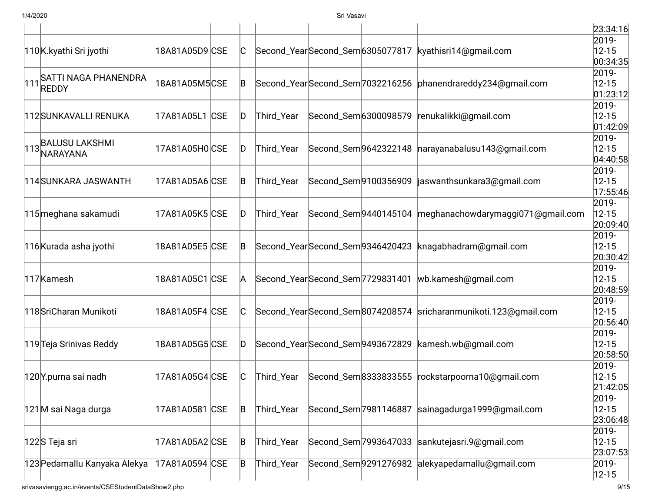|     |                                                    |                |     |                                   |                       |                                 |                                                                 | 23:34:16               |
|-----|----------------------------------------------------|----------------|-----|-----------------------------------|-----------------------|---------------------------------|-----------------------------------------------------------------|------------------------|
|     | 110K.kyathi Sri jyothi                             | 18A81A05D9 CSE |     |                                   |                       | Second_YearSecond_Sem6305077817 | kyathisri14@gmail.com                                           | 2019-<br>$12 - 15$     |
|     |                                                    |                |     |                                   |                       |                                 |                                                                 | 00:34:35               |
|     | SATTI NAGA PHANENDRA                               |                |     |                                   |                       |                                 |                                                                 | 2019-                  |
| 111 | <b>REDDY</b>                                       | 18A81A05M5CSE  | B   | Second_YearSecond_Sem7032216256   |                       |                                 | phanendrareddy234@gmail.com                                     | $12 - 15$<br> 01:23:12 |
|     |                                                    |                |     |                                   |                       |                                 |                                                                 | 2019-                  |
|     | 112 SUNKAVALLI RENUKA                              | 17A81A05L1 CSE | ID  | Third_Year                        | Second_Sem 6300098579 |                                 | renukalikki@gmail.com                                           | $12 - 15$              |
|     |                                                    |                |     |                                   |                       |                                 |                                                                 | 01:42:09               |
|     | 113 BALUSU LAKSHMI                                 |                |     |                                   |                       |                                 |                                                                 | 2019-                  |
|     | NARAYANA                                           | 17A81A05H0 CSE | D   | Third_Year                        |                       | Second_Sem 9642322148           | narayanabalusu143@gmail.com                                     | $12 - 15$<br>04:40:58  |
|     |                                                    |                |     |                                   |                       |                                 |                                                                 | 2019-                  |
|     | 114 SUNKARA JASWANTH                               | 17A81A05A6 CSE | B   | Third_Year                        |                       | Second_Sem 9100356909           | jaswanthsunkara3@gmail.com                                      | $12 - 15$              |
|     |                                                    |                |     |                                   |                       |                                 |                                                                 | 17:55:46               |
|     |                                                    |                |     |                                   |                       |                                 |                                                                 | 2019-                  |
|     | 115 meghana sakamudi                               | 17A81A05K5 CSE | D   | Third_Year                        |                       | Second_Sem 9440145104           | meghanachowdarymaggi071@gmail.com                               | $12 - 15$              |
|     |                                                    |                |     |                                   |                       |                                 |                                                                 | 20:09:40               |
|     |                                                    |                |     |                                   |                       |                                 |                                                                 | 2019-                  |
|     | 116 Kurada asha jyothi                             | 18A81A05E5 CSE | IB. | Second_YearSecond_Sem9346420423   |                       |                                 | knagabhadram@gmail.com                                          | $12 - 15$<br>20:30:42  |
|     |                                                    |                |     |                                   |                       |                                 |                                                                 | 2019-                  |
|     | 117 Kamesh                                         | 18A81A05C1 CSE | A   | Second_YearSecond_Sem7729831401   |                       |                                 | wb.kamesh@gmail.com                                             | $12 - 15$              |
|     |                                                    |                |     |                                   |                       |                                 |                                                                 | 20:48:59               |
|     |                                                    |                |     |                                   |                       |                                 |                                                                 | 2019-                  |
|     | 118 SriCharan Munikoti                             | 18A81A05F4 CSE |     |                                   |                       |                                 | Second_YearSecond_Sem8074208574 sricharanmunikoti.123@gmail.com | $12 - 15$              |
|     |                                                    |                |     |                                   |                       |                                 |                                                                 | 20:56:40               |
|     |                                                    |                |     |                                   |                       |                                 |                                                                 | 2019-                  |
|     | 119 Teja Srinivas Reddy                            | 18A81A05G5 CSE | D   | Second_Year Second_Sem 9493672829 |                       |                                 | kamesh.wb@gmail.com                                             | $12 - 15$<br>20:58:50  |
|     |                                                    |                |     |                                   |                       |                                 |                                                                 | 2019-                  |
|     | 120Y.purna sai nadh                                | 17A81A05G4 CSE | IС  | Third_Year                        | Second_Sem 8333833555 |                                 | rockstarpoorna10@gmail.com                                      | $12 - 15$              |
|     |                                                    |                |     |                                   |                       |                                 |                                                                 | 21:42:05               |
|     |                                                    |                |     |                                   |                       |                                 |                                                                 | 2019-                  |
|     | 121M sai Naga durga                                | 17A81A0581 CSE | B   | Third_Year                        |                       | Second_Sem 7981146887           | sainagadurga1999@gmail.com                                      | $12 - 15$              |
|     |                                                    |                |     |                                   |                       |                                 |                                                                 | 23:06:48               |
|     |                                                    |                |     |                                   |                       |                                 |                                                                 | 2019-                  |
|     | 122S Teja sri                                      | 17A81A05A2 CSE | B   | Third_Year                        |                       | Second_Sem 7993647033           | sankutejasri.9@gmail.com                                        | $12 - 15$<br>23:07:53  |
|     | 123 Pedamallu Kanyaka Alekya                       | 17A81A0594 CSE | B   | Third_Year                        |                       |                                 | Second_Sem9291276982 alekyapedamallu@gmail.com                  | 2019-                  |
|     |                                                    |                |     |                                   |                       |                                 |                                                                 | $ 12 - 15 $            |
|     | srivasaviengg.ac.in/events/CSEStudentDataShow2.php |                |     |                                   |                       |                                 |                                                                 | 9/15                   |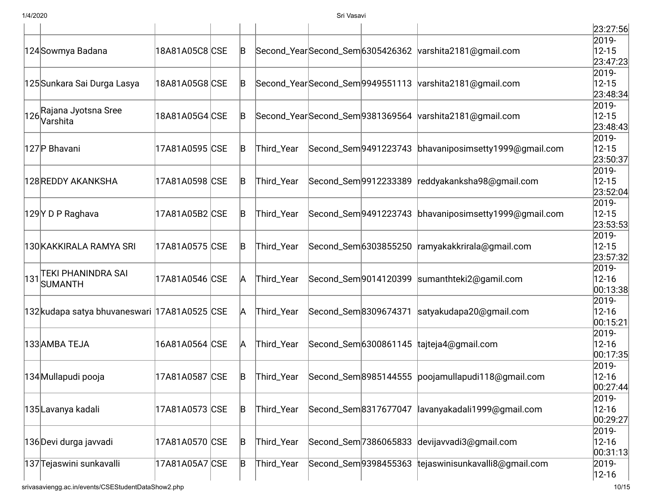|                |                                                                                                                                                                                                                                                                                                                                         |                                                                                                                                                                                                                                                                                       |                                       |                                                                                                              |                                                                                                                                                                                                                                                                                                                    | 23:27:56                                                                                                                                                                                                                                                                                                                                                                                                                                                  |
|----------------|-----------------------------------------------------------------------------------------------------------------------------------------------------------------------------------------------------------------------------------------------------------------------------------------------------------------------------------------|---------------------------------------------------------------------------------------------------------------------------------------------------------------------------------------------------------------------------------------------------------------------------------------|---------------------------------------|--------------------------------------------------------------------------------------------------------------|--------------------------------------------------------------------------------------------------------------------------------------------------------------------------------------------------------------------------------------------------------------------------------------------------------------------|-----------------------------------------------------------------------------------------------------------------------------------------------------------------------------------------------------------------------------------------------------------------------------------------------------------------------------------------------------------------------------------------------------------------------------------------------------------|
|                |                                                                                                                                                                                                                                                                                                                                         |                                                                                                                                                                                                                                                                                       |                                       |                                                                                                              |                                                                                                                                                                                                                                                                                                                    | 2019-<br>$12 - 15$                                                                                                                                                                                                                                                                                                                                                                                                                                        |
|                |                                                                                                                                                                                                                                                                                                                                         |                                                                                                                                                                                                                                                                                       |                                       |                                                                                                              |                                                                                                                                                                                                                                                                                                                    | 23:47:23                                                                                                                                                                                                                                                                                                                                                                                                                                                  |
|                |                                                                                                                                                                                                                                                                                                                                         |                                                                                                                                                                                                                                                                                       |                                       |                                                                                                              |                                                                                                                                                                                                                                                                                                                    | 2019-                                                                                                                                                                                                                                                                                                                                                                                                                                                     |
|                |                                                                                                                                                                                                                                                                                                                                         |                                                                                                                                                                                                                                                                                       |                                       |                                                                                                              |                                                                                                                                                                                                                                                                                                                    | $12 - 15$<br>23:48:34                                                                                                                                                                                                                                                                                                                                                                                                                                     |
|                |                                                                                                                                                                                                                                                                                                                                         |                                                                                                                                                                                                                                                                                       |                                       |                                                                                                              |                                                                                                                                                                                                                                                                                                                    | 2019-                                                                                                                                                                                                                                                                                                                                                                                                                                                     |
|                |                                                                                                                                                                                                                                                                                                                                         | B                                                                                                                                                                                                                                                                                     |                                       |                                                                                                              |                                                                                                                                                                                                                                                                                                                    | $12 - 15$                                                                                                                                                                                                                                                                                                                                                                                                                                                 |
|                |                                                                                                                                                                                                                                                                                                                                         |                                                                                                                                                                                                                                                                                       |                                       |                                                                                                              |                                                                                                                                                                                                                                                                                                                    | 23:48:43<br>2019-                                                                                                                                                                                                                                                                                                                                                                                                                                         |
|                |                                                                                                                                                                                                                                                                                                                                         |                                                                                                                                                                                                                                                                                       |                                       |                                                                                                              |                                                                                                                                                                                                                                                                                                                    | $12 - 15$                                                                                                                                                                                                                                                                                                                                                                                                                                                 |
|                |                                                                                                                                                                                                                                                                                                                                         |                                                                                                                                                                                                                                                                                       |                                       |                                                                                                              |                                                                                                                                                                                                                                                                                                                    | 23:50:37                                                                                                                                                                                                                                                                                                                                                                                                                                                  |
|                |                                                                                                                                                                                                                                                                                                                                         |                                                                                                                                                                                                                                                                                       |                                       |                                                                                                              |                                                                                                                                                                                                                                                                                                                    | 2019-                                                                                                                                                                                                                                                                                                                                                                                                                                                     |
|                |                                                                                                                                                                                                                                                                                                                                         |                                                                                                                                                                                                                                                                                       |                                       |                                                                                                              |                                                                                                                                                                                                                                                                                                                    | $12 - 15$<br>23:52:04                                                                                                                                                                                                                                                                                                                                                                                                                                     |
|                |                                                                                                                                                                                                                                                                                                                                         |                                                                                                                                                                                                                                                                                       |                                       |                                                                                                              |                                                                                                                                                                                                                                                                                                                    | 2019-                                                                                                                                                                                                                                                                                                                                                                                                                                                     |
|                |                                                                                                                                                                                                                                                                                                                                         | B                                                                                                                                                                                                                                                                                     | Third_Year                            |                                                                                                              |                                                                                                                                                                                                                                                                                                                    | $12 - 15$                                                                                                                                                                                                                                                                                                                                                                                                                                                 |
|                |                                                                                                                                                                                                                                                                                                                                         |                                                                                                                                                                                                                                                                                       |                                       |                                                                                                              |                                                                                                                                                                                                                                                                                                                    | 23:53:53                                                                                                                                                                                                                                                                                                                                                                                                                                                  |
|                |                                                                                                                                                                                                                                                                                                                                         |                                                                                                                                                                                                                                                                                       |                                       |                                                                                                              |                                                                                                                                                                                                                                                                                                                    | 2019-<br>$12 - 15$                                                                                                                                                                                                                                                                                                                                                                                                                                        |
|                |                                                                                                                                                                                                                                                                                                                                         |                                                                                                                                                                                                                                                                                       |                                       |                                                                                                              |                                                                                                                                                                                                                                                                                                                    | 23:57:32                                                                                                                                                                                                                                                                                                                                                                                                                                                  |
|                |                                                                                                                                                                                                                                                                                                                                         |                                                                                                                                                                                                                                                                                       |                                       |                                                                                                              |                                                                                                                                                                                                                                                                                                                    | 2019-                                                                                                                                                                                                                                                                                                                                                                                                                                                     |
| <b>SUMANTH</b> |                                                                                                                                                                                                                                                                                                                                         | A                                                                                                                                                                                                                                                                                     |                                       |                                                                                                              |                                                                                                                                                                                                                                                                                                                    | $12 - 16$                                                                                                                                                                                                                                                                                                                                                                                                                                                 |
|                |                                                                                                                                                                                                                                                                                                                                         |                                                                                                                                                                                                                                                                                       |                                       |                                                                                                              |                                                                                                                                                                                                                                                                                                                    | 00:13:38 <br>2019-                                                                                                                                                                                                                                                                                                                                                                                                                                        |
|                |                                                                                                                                                                                                                                                                                                                                         | A                                                                                                                                                                                                                                                                                     | Third_Year                            |                                                                                                              |                                                                                                                                                                                                                                                                                                                    | $12 - 16$                                                                                                                                                                                                                                                                                                                                                                                                                                                 |
|                |                                                                                                                                                                                                                                                                                                                                         |                                                                                                                                                                                                                                                                                       |                                       |                                                                                                              |                                                                                                                                                                                                                                                                                                                    | 00:15:21                                                                                                                                                                                                                                                                                                                                                                                                                                                  |
|                |                                                                                                                                                                                                                                                                                                                                         |                                                                                                                                                                                                                                                                                       |                                       |                                                                                                              |                                                                                                                                                                                                                                                                                                                    | 2019-                                                                                                                                                                                                                                                                                                                                                                                                                                                     |
|                |                                                                                                                                                                                                                                                                                                                                         |                                                                                                                                                                                                                                                                                       |                                       |                                                                                                              |                                                                                                                                                                                                                                                                                                                    | $12 - 16$<br> 00:17:35                                                                                                                                                                                                                                                                                                                                                                                                                                    |
|                |                                                                                                                                                                                                                                                                                                                                         |                                                                                                                                                                                                                                                                                       |                                       |                                                                                                              |                                                                                                                                                                                                                                                                                                                    | 2019-                                                                                                                                                                                                                                                                                                                                                                                                                                                     |
|                |                                                                                                                                                                                                                                                                                                                                         | B                                                                                                                                                                                                                                                                                     | Third_Year                            |                                                                                                              |                                                                                                                                                                                                                                                                                                                    | $12 - 16$                                                                                                                                                                                                                                                                                                                                                                                                                                                 |
|                |                                                                                                                                                                                                                                                                                                                                         |                                                                                                                                                                                                                                                                                       |                                       |                                                                                                              |                                                                                                                                                                                                                                                                                                                    | 00:27:44                                                                                                                                                                                                                                                                                                                                                                                                                                                  |
|                |                                                                                                                                                                                                                                                                                                                                         |                                                                                                                                                                                                                                                                                       |                                       |                                                                                                              |                                                                                                                                                                                                                                                                                                                    | 2019-<br>$12 - 16$                                                                                                                                                                                                                                                                                                                                                                                                                                        |
|                |                                                                                                                                                                                                                                                                                                                                         |                                                                                                                                                                                                                                                                                       |                                       |                                                                                                              |                                                                                                                                                                                                                                                                                                                    | 00:29:27                                                                                                                                                                                                                                                                                                                                                                                                                                                  |
|                |                                                                                                                                                                                                                                                                                                                                         |                                                                                                                                                                                                                                                                                       |                                       |                                                                                                              |                                                                                                                                                                                                                                                                                                                    | 2019-                                                                                                                                                                                                                                                                                                                                                                                                                                                     |
|                |                                                                                                                                                                                                                                                                                                                                         | B                                                                                                                                                                                                                                                                                     |                                       |                                                                                                              | devijavvadi3@gmail.com                                                                                                                                                                                                                                                                                             | $12 - 16$                                                                                                                                                                                                                                                                                                                                                                                                                                                 |
|                |                                                                                                                                                                                                                                                                                                                                         |                                                                                                                                                                                                                                                                                       |                                       |                                                                                                              |                                                                                                                                                                                                                                                                                                                    | 00:31:13 <br>2019-                                                                                                                                                                                                                                                                                                                                                                                                                                        |
|                |                                                                                                                                                                                                                                                                                                                                         |                                                                                                                                                                                                                                                                                       |                                       |                                                                                                              |                                                                                                                                                                                                                                                                                                                    | $12 - 16$                                                                                                                                                                                                                                                                                                                                                                                                                                                 |
|                | 124 Sowmya Badana<br>125 Sunkara Sai Durga Lasya<br>Rajana Jyotsna Sree<br>126<br>Varshita<br>127P Bhavani<br>128 REDDY AKANKSHA<br>129Y D P Raghava<br>130 KAKKIRALA RAMYA SRI<br><b>TEKI PHANINDRA SAI</b><br>131<br>133 AMBA TEJA<br>134 Mullapudi pooja<br>135 Lavanya kadali<br>136 Devi durga javvadi<br>137 Tejaswini sunkavalli | 18A81A05C8 CSE<br>18A81A05G8 CSE<br>18A81A05G4 CSE<br>17A81A0595 CSE<br>17A81A0598 CSE<br>17A81A05B2 CSE<br>17A81A0575 CSE<br>17A81A0546 CSE<br>132kudapa satya bhuvaneswari 17A81A0525 CSE<br>16A81A0564 CSE<br>17A81A0587 CSE<br>17A81A0573 CSE<br>17A81A0570 CSE<br>17A81A05A7 CSE | B<br>B<br>B<br>B<br>B.<br>A<br>B<br>B | Third_Year<br>Third_Year<br>Third_Year<br>Third_Year<br>Third_Year<br>Third_Year<br>Third_Year<br>Third_Year | Second_Year Second_Sem 9381369564<br>Second_Sem 9491223743<br>Second_Sem 9912233389<br>Second_Sem 9491223743<br>Second_Sem 6303855250<br>Second_Sem 9014120399<br>Second_Sem8309674371<br>Second_Sem 6300861145<br>Second_Sem 8985144555<br>Second_Sem8317677047<br>Second_Sem 7386065833<br>Second_Sem 9398455363 | Second_YearSecond_Sem 6305426362 varshita 2181@gmail.com<br>Second_YearSecond_Sem 9949551113 varshita 2181@gmail.com<br>varshita2181@gmail.com<br>bhavaniposimsetty1999@gmail.com<br>reddyakanksha98@gmail.com<br>bhavaniposimsetty1999@qmail.com<br>ramyakakkrirala@gmail.com<br>sumanthteki2@gamil.com<br>satyakudapa20@gmail.com<br>tajteja4@gmail.com<br>poojamullapudi118@gmail.com<br>lavanyakadali1999@gmail.com<br>tejaswinisunkavalli8@gmail.com |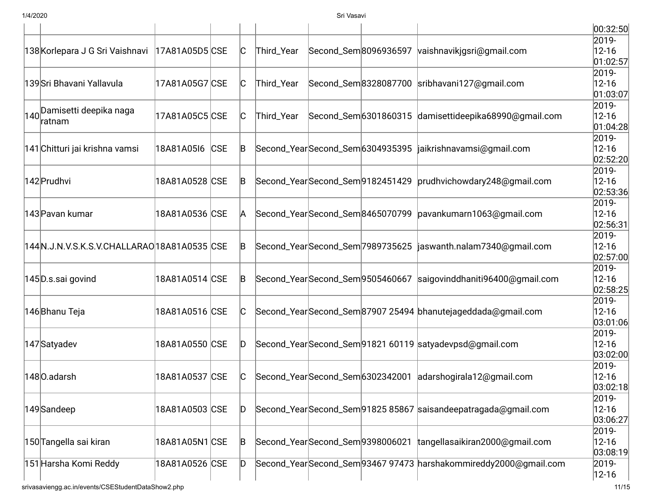|                                              |                |     |              |                                 |                       |                                                                 | 00:32:50               |
|----------------------------------------------|----------------|-----|--------------|---------------------------------|-----------------------|-----------------------------------------------------------------|------------------------|
|                                              |                |     |              |                                 |                       |                                                                 | 2019-                  |
| 138 Korlepara J G Sri Vaishnavi              | 17A81A05D5 CSE |     | $\mathsf{C}$ | Third_Year                      | Second_Sem 8096936597 | vaishnavikjgsri@gmail.com                                       | $12 - 16$<br>01:02:57  |
|                                              |                |     |              |                                 |                       |                                                                 | 2019-                  |
| 139 Sri Bhavani Yallavula                    | 17A81A05G7 CSE |     | C            | Third_Year                      |                       | Second_Sem8328087700 sribhavani127@gmail.com                    | $12 - 16$              |
|                                              |                |     |              |                                 |                       |                                                                 | 01:03:07               |
| 140 Damisetti deepika naga                   |                |     |              |                                 |                       |                                                                 | 2019-                  |
| ratnam                                       | 17A81A05C5 CSE |     | C            | Third_Year                      |                       | Second_Sem6301860315 damisettideepika68990@gmail.com            | $12 - 16$              |
|                                              |                |     |              |                                 |                       |                                                                 | 01:04:28               |
| 141 Chitturi jai krishna vamsi               | 18A81A05I6     | CSE | B            |                                 |                       | Second_YearSecond_Sem 6304935395  jaikrishnavamsi@gmail.com     | 2019-<br>$12 - 16$     |
|                                              |                |     |              |                                 |                       |                                                                 | 02:52:20               |
|                                              |                |     |              |                                 |                       |                                                                 | 2019-                  |
| 142 Prudhvi                                  | 18A81A0528 CSE |     | B            |                                 |                       | Second_YearSecond_Sem 9182451429 prudhvichowdary 248@gmail.com  | $12 - 16$              |
|                                              |                |     |              |                                 |                       |                                                                 | 02:53:36               |
|                                              |                |     |              |                                 |                       |                                                                 | 2019-                  |
| 143 Pavan kumar                              | 18A81A0536 CSE |     | A            |                                 |                       | Second_Year Second_Sem 8465070799  pavankumarn1063@gmail.com    | $12 - 16$              |
|                                              |                |     |              |                                 |                       |                                                                 | 02:56:31               |
|                                              |                |     |              |                                 |                       |                                                                 | 2019-                  |
| 144N.J.N.V.S.K.S.V.CHALLARAO 18A81A0535  CSE |                |     | B            |                                 |                       | Second_YearSecond_Sem 7989735625 jaswanth.nalam7340@gmail.com   | $12 - 16$              |
|                                              |                |     |              |                                 |                       |                                                                 | 02:57:00               |
|                                              |                |     |              |                                 |                       |                                                                 | 2019-                  |
| 145D.s.sai govind                            | 18A81A0514 CSE |     | B            |                                 |                       | Second_YearSecond_Sem9505460667 saigovinddhaniti96400@gmail.com | $12 - 16$              |
|                                              |                |     |              |                                 |                       |                                                                 | 02:58:25               |
|                                              |                |     |              |                                 |                       |                                                                 | 2019-                  |
| 146 Bhanu Teja                               | 18A81A0516 CSE |     | C            |                                 |                       | Second_YearSecond_Sem87907 25494 bhanutejageddada@gmail.com     | $12 - 16$              |
|                                              |                |     |              |                                 |                       |                                                                 | 03:01:06               |
|                                              |                |     |              |                                 |                       |                                                                 | 2019-                  |
| 147 Satyadev                                 | 18A81A0550 CSE |     | D            |                                 |                       | Second_YearSecond_Sem91821 60119 satyadevpsd@gmail.com          | $12 - 16$<br> 03:02:00 |
|                                              |                |     |              |                                 |                       |                                                                 | 2019-                  |
| 1480.adarsh                                  | 18A81A0537 CSE |     | C            |                                 |                       | Second_Year Second_Sem 6302342001  adarshogirala12@gmail.com    | $12 - 16$              |
|                                              |                |     |              |                                 |                       |                                                                 | 03:02:18               |
|                                              |                |     |              |                                 |                       |                                                                 | 2019-                  |
| 149 Sandeep                                  | 18A81A0503 CSE |     | D            |                                 |                       | Second_YearSecond_Sem91825 85867 saisandeepatragada@gmail.com   | $12 - 16$              |
|                                              |                |     |              |                                 |                       |                                                                 | 03:06:27               |
|                                              |                |     |              |                                 |                       |                                                                 | 2019-                  |
| 150 Tangella sai kiran                       | 18A81A05N1 CSE |     | B            | Second_YearSecond_Sem9398006021 |                       | tangellasaikiran2000@gmail.com                                  | $12 - 16$              |
|                                              |                |     |              |                                 |                       |                                                                 | 03:08:19               |
| 151 Harsha Komi Reddy                        | 18A81A0526 CSE |     | D            |                                 |                       | Second_YearSecond_Sem93467 97473 harshakommireddy2000@gmail.com | 2019-                  |
|                                              |                |     |              |                                 |                       |                                                                 | $ 12 - 16 $            |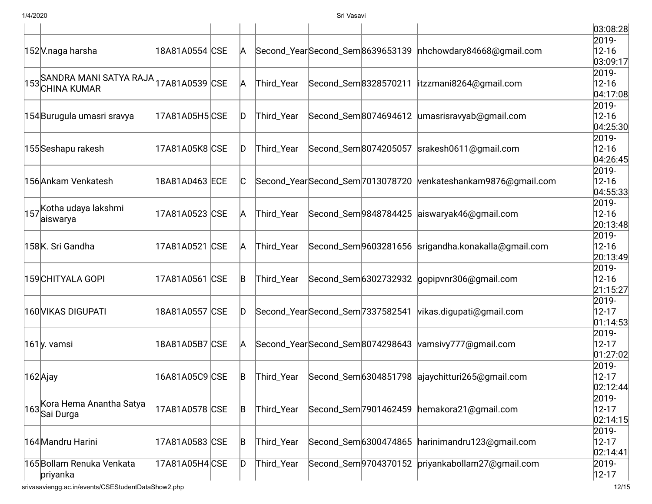|                                                            |                |             |                                   |                                 |                       |                                                     | 03:08:28              |
|------------------------------------------------------------|----------------|-------------|-----------------------------------|---------------------------------|-----------------------|-----------------------------------------------------|-----------------------|
|                                                            |                |             |                                   |                                 |                       |                                                     | 2019-                 |
| 152 V.naga harsha                                          | 18A81A0554 CSE | A           | Second_YearSecond_Sem8639653139   |                                 |                       | nhchowdary84668@gmail.com                           | $12 - 16$             |
|                                                            |                |             |                                   |                                 |                       |                                                     | 03:09:17              |
| $153$ SANDRA MANI SATYA RAJA $ 17$ A81A0539 $ \text{CSE} $ |                |             |                                   |                                 |                       |                                                     | 2019-                 |
| <b>CHINA KUMAR</b>                                         |                | A           | Third_Year                        | Second_Sem8328570211            |                       | itzzmani8264@gmail.com                              | $12 - 16$             |
|                                                            |                |             |                                   |                                 |                       |                                                     | 04:17:08              |
|                                                            |                |             |                                   |                                 |                       |                                                     | 2019-                 |
| 154 Burugula umasri sravya                                 | 17A81A05H5 CSE | ID.         | Third_Year                        |                                 |                       | Second_Sem8074694612 umasrisravyab@gmail.com        | $12 - 16$<br>04:25:30 |
|                                                            |                |             |                                   |                                 |                       |                                                     | 2019-                 |
| 155 Seshapu rakesh                                         | 17A81A05K8 CSE | ID.         | Third_Year                        |                                 | Second_Sem8074205057  | srakesh0611@gmail.com                               | $12 - 16$             |
|                                                            |                |             |                                   |                                 |                       |                                                     | 04:26:45              |
|                                                            |                |             |                                   |                                 |                       |                                                     | 2019-                 |
| 156 Ankam Venkatesh                                        | 18A81A0463 ECE | IC.         | Second_Year Second_Sem 7013078720 |                                 |                       | venkateshankam9876@gmail.com                        | $12 - 16$             |
|                                                            |                |             |                                   |                                 |                       |                                                     | 04:55:33              |
|                                                            |                |             |                                   |                                 |                       |                                                     | 2019-                 |
| 1 <sub>157</sub> Kotha udaya lakshmi                       | 17A81A0523 CSE | A           | Third_Year                        |                                 |                       | Second_Sem9848784425 aiswaryak46@gmail.com          | $12 - 16$             |
| aiswarya                                                   |                |             |                                   |                                 |                       |                                                     | 20:13:48              |
|                                                            |                |             |                                   |                                 |                       |                                                     | 2019-                 |
| 158K. Sri Gandha                                           | 17A81A0521 CSE | A           | Third_Year                        |                                 |                       | Second_Sem 9603281656 srigandha.konakalla@gmail.com | $12 - 16$             |
|                                                            |                |             |                                   |                                 |                       |                                                     | 20:13:49              |
|                                                            |                |             |                                   |                                 |                       |                                                     | 2019-                 |
| 159 CHITYALA GOPI                                          | 17A81A0561 CSE | B           | Third_Year                        |                                 |                       | Second_Sem 6302732932 gopipvnr306@gmail.com         | $12 - 16$             |
|                                                            |                |             |                                   |                                 |                       |                                                     | 21:15:27              |
|                                                            |                |             |                                   |                                 |                       |                                                     | 2019-                 |
| 160 VIKAS DIGUPATI                                         | 18A81A0557 CSE | ID.         |                                   | Second_YearSecond_Sem7337582541 |                       | vikas.digupati@gmail.com                            | $12 - 17$             |
|                                                            |                |             |                                   |                                 |                       |                                                     | 01:14:53              |
|                                                            |                |             |                                   |                                 |                       |                                                     | 2019-                 |
| 161 <sub>y</sub> . vamsi                                   | 18A81A05B7 CSE | A           | Second_YearSecond_Sem8074298643   |                                 |                       | vamsivy777@gmail.com                                | $12 - 17$             |
|                                                            |                |             |                                   |                                 |                       |                                                     | 01:27:02              |
|                                                            |                |             |                                   |                                 |                       |                                                     | 2019-                 |
| 162Ajay                                                    | 16A81A05C9 CSE | B           | Third_Year                        |                                 |                       | Second_Sem 6304851798 ajaychitturi265@gmail.com     | $12 - 17$             |
|                                                            |                |             |                                   |                                 |                       |                                                     | 02:12:44              |
| Kora Hema Anantha Satya                                    |                |             |                                   |                                 |                       |                                                     | 2019-                 |
| Sai Durga                                                  | 17A81A0578 CSE | B           | Third_Year                        |                                 | Second_Sem 7901462459 | hemakora21@gmail.com                                | $12 - 17$             |
|                                                            |                |             |                                   |                                 |                       |                                                     | 02:14:15              |
|                                                            |                |             |                                   |                                 |                       |                                                     | 2019-                 |
| 164 Mandru Harini                                          | 17A81A0583 CSE | $\mathsf B$ | Third_Year                        |                                 | Second_Sem 6300474865 | harinimandru123@gmail.com                           | $12 - 17$             |
|                                                            |                |             |                                   |                                 |                       |                                                     | 02:14:41              |
| 165 Bollam Renuka Venkata                                  | 17A81A05H4 CSE | D           | Third_Year                        |                                 | Second_Sem 9704370152 | priyankabollam27@gmail.com                          | 2019-                 |
| priyanka                                                   |                |             |                                   |                                 |                       |                                                     | $ 12 - 17 $           |
| srivasaviengg.ac.in/events/CSEStudentDataShow2.php         |                |             |                                   |                                 |                       |                                                     | 12/15                 |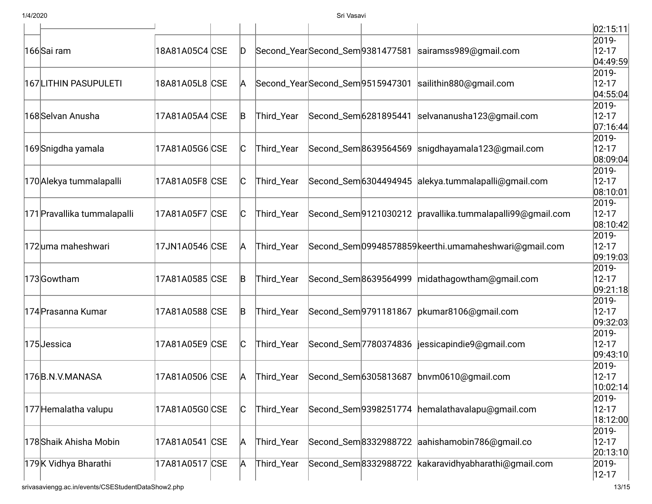|                                                  |                |  |     |            |                                 |                                 |                                                              | 02:15:11               |
|--------------------------------------------------|----------------|--|-----|------------|---------------------------------|---------------------------------|--------------------------------------------------------------|------------------------|
| 166 Sai ram                                      | 18A81A05C4 CSE |  | ID. |            |                                 | Second_YearSecond_Sem9381477581 | sairamss989@gmail.com                                        | 2019-<br>$12 - 17$     |
|                                                  |                |  |     |            |                                 |                                 |                                                              | 04:49:59               |
| 167LITHIN PASUPULETI                             | 18A81A05L8 CSE |  |     |            | Second_YearSecond_Sem9515947301 |                                 | sailithin880@gmail.com                                       | 2019-                  |
|                                                  |                |  | A   |            |                                 |                                 |                                                              | $12 - 17$<br>04:55:04  |
|                                                  |                |  |     |            |                                 |                                 |                                                              | 2019-                  |
| 168 Selvan Anusha                                | 17A81A05A4 CSE |  | B   | Third_Year |                                 | Second_Sem 6281895441           | selvananusha123@gmail.com                                    | $12 - 17$              |
|                                                  |                |  |     |            |                                 |                                 |                                                              | 07:16:44               |
|                                                  |                |  | C   | Third_Year |                                 |                                 | Second_Sem 8639564569 snigdhayamala123@gmail.com             | 2019-                  |
| 169 Snigdha yamala                               | 17A81A05G6 CSE |  |     |            |                                 |                                 |                                                              | $12 - 17$<br>08:09:04  |
|                                                  |                |  |     |            |                                 |                                 |                                                              | 2019-                  |
| 170 Alekya tummalapalli                          | 17A81A05F8 CSE |  | lC. | Third_Year |                                 |                                 | Second_Sem6304494945 alekya.tummalapalli@gmail.com           | $12 - 17$              |
|                                                  |                |  |     |            |                                 |                                 |                                                              | 08:10:01               |
|                                                  | 17A81A05F7 CSE |  |     | Third_Year |                                 |                                 | Second_Sem 9121030212   pravallika.tummalapalli 99@gmail.com | 2019-                  |
| 171 Pravallika tummalapalli<br>172uma maheshwari |                |  | C   |            |                                 |                                 |                                                              | $12 - 17$              |
|                                                  |                |  |     |            |                                 |                                 |                                                              | 08:10:42 <br>2019-     |
|                                                  | 17JN1A0546 CSE |  | A   | Third_Year |                                 |                                 | Second_Sem 09948578859 keerthi.um amaheshwari@gmail.com      | $12 - 17$              |
|                                                  |                |  |     |            |                                 |                                 |                                                              | 09:19:03               |
| 173Gowtham                                       | 17A81A0585 CSE |  | B   | Third_Year |                                 | Second_Sem8639564999            | midathagowtham@gmail.com                                     | 2019-                  |
|                                                  |                |  |     |            |                                 |                                 |                                                              | $12 - 17$              |
|                                                  |                |  |     |            |                                 |                                 |                                                              | 09:21:18               |
| 174 Prasanna Kumar                               | 17A81A0588 CSE |  | B   | Third_Year |                                 |                                 | Second_Sem9791181867 pkumar8106@gmail.com                    | 2019-<br>$12 - 17$     |
|                                                  |                |  |     |            |                                 |                                 |                                                              | 09:32:03               |
| 175Jessica                                       | 17A81A05E9 CSE |  |     | Third_Year |                                 | Second_Sem 7780374836           | jessicapindie9@gmail.com                                     | 2019-                  |
|                                                  |                |  | C   |            |                                 |                                 |                                                              | $12 - 17$              |
|                                                  |                |  |     |            |                                 |                                 |                                                              | 09:43:10               |
| 176B.N.V.MANASA                                  | 17A81A0506 CSE |  |     | Third_Year |                                 |                                 | Second_Sem 6305813687 bnvm0610@gmail.com                     | 2019-                  |
|                                                  |                |  | A   |            |                                 |                                 |                                                              | $12 - 17$<br> 10:02:14 |
| 177 Hemalatha valupu                             |                |  |     |            |                                 |                                 |                                                              | 2019-                  |
|                                                  | 17A81A05G0 CSE |  | C   | Third_Year |                                 | Second_Sem 9398251774           | hemalathavalapu@gmail.com                                    | $12 - 17$              |
|                                                  |                |  |     |            |                                 |                                 |                                                              | 18:12:00               |
| 178 Shaik Ahisha Mobin                           | 17A81A0541 CSE |  | A   | Third_Year |                                 |                                 | Second_Sem8332988722 aahishamobin786@gmail.co                | 2019-                  |
|                                                  |                |  |     |            |                                 |                                 |                                                              | $12 - 17$              |
|                                                  |                |  |     | Third_Year |                                 |                                 |                                                              | 20:13:10<br>2019-      |
| 179K Vidhya Bharathi                             | 17A81A0517 CSE |  | A   |            |                                 |                                 | Second_Sem8332988722 kakaravidhyabharathi@gmail.com          | $12 - 17$              |
|                                                  |                |  |     |            |                                 |                                 |                                                              |                        |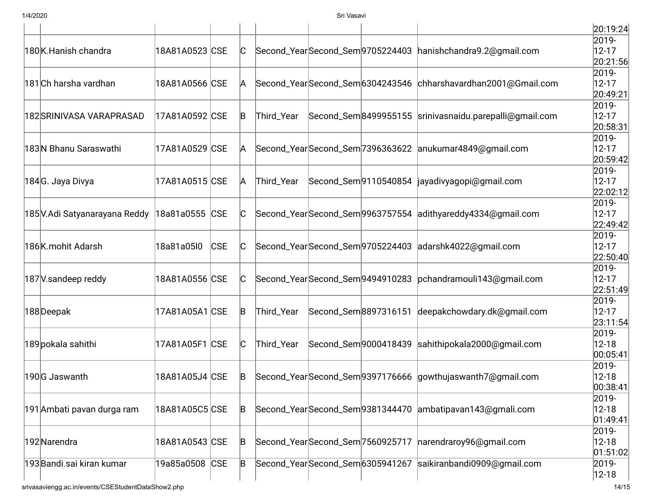|                               |                |            |     |            |                                 |                                                               | 20:19:24                          |
|-------------------------------|----------------|------------|-----|------------|---------------------------------|---------------------------------------------------------------|-----------------------------------|
| 180K.Hanish chandra           | 18A81A0523 CSE |            | IC. |            |                                 | Second_YearSecond_Sem9705224403 hanishchandra9.2@gmail.com    | 2019-<br>$12 - 17$<br>20:21:56    |
| 181 Ch harsha vardhan         | 18A81A0566 CSE |            | A   |            |                                 | Second_YearSecond_Sem6304243546 chharshavardhan2001@Gmail.com | 2019-<br>$12 - 17$<br>20:49:21    |
| 182 SRINIVASA VARAPRASAD      | 17A81A0592 CSE |            | B   | Third_Year |                                 | Second_Sem8499955155 srinivasnaidu.parepalli@gmail.com        | 2019-<br>$12 - 17$<br>20:58:31    |
| 183 N Bhanu Saraswathi        | 17A81A0529 CSE |            | A   |            |                                 | Second_YearSecond_Sem 7396363622 anukumar4849@gmail.com       | 2019-<br>$12 - 17$<br>20:59:42    |
| 184G. Jaya Divya              | 17A81A0515 CSE |            | A   | Third_Year |                                 | Second_Sem 9110540854  jayadivyagopi@gmail.com                | 2019-<br>$12 - 17$<br>22:02:12    |
| 185 V.Adi Satyanarayana Reddy | 18a81a0555 CSE |            | C   |            |                                 | Second_YearSecond_Sem9963757554 adithyareddy4334@gmail.com    | $2019 -$<br>$12 - 17$<br>22:49:42 |
| 186K.mohit Adarsh             | 18a81a05l0     | <b>CSE</b> | IC. |            |                                 | Second_YearSecond_Sem9705224403 adarshk4022@gmail.com         | 2019-<br>$12 - 17$<br>22:50:40    |
| 187 V.sandeep reddy           | 18A81A0556 CSE |            | IC. |            |                                 | Second_YearSecond_Sem 9494910283 pchandramouli 143@gmail.com  | 2019-<br>$12 - 17$<br>22:51:49    |
| 188Deepak                     | 17A81A05A1 CSE |            | B   | Third_Year |                                 | Second_Sem8897316151 deepakchowdary.dk@gmail.com              | 2019-<br>$12 - 17$<br> 23:11:54   |
| 189 pokala sahithi            | 17A81A05F1 CSE |            | C   | Third_Year | Second_Sem9000418439            | sahithipokala2000@gmail.com                                   | 2019-<br>$12 - 18$<br>00:05:41    |
| 190G Jaswanth                 | 18A81A05J4 CSE |            | B   |            |                                 | Second_YearSecond_Sem9397176666 gowthujaswanth7@gmail.com     | 2019-<br>$12 - 18$<br> 00:38:41   |
| 191Ambati pavan durga ram     | 18A81A05C5 CSE |            | B   |            |                                 | Second_YearSecond_Sem9381344470 ambatipavan143@gmali.com      | 2019-<br>$12 - 18$<br> 01:49:41   |
| 192 Narendra                  | 18A81A0543 CSE |            | B   |            |                                 | Second_Year Second_Sem 7560925717  narendraroy96@gmail.com    | 2019-<br>$12 - 18$<br>01:51:02    |
| 193 Bandi.sai kiran kumar     | 19a85a0508 CSE |            | B   |            | Second_YearSecond_Sem6305941267 | saikiranbandi0909@gmail.com                                   | 2019-<br>$12 - 18$                |